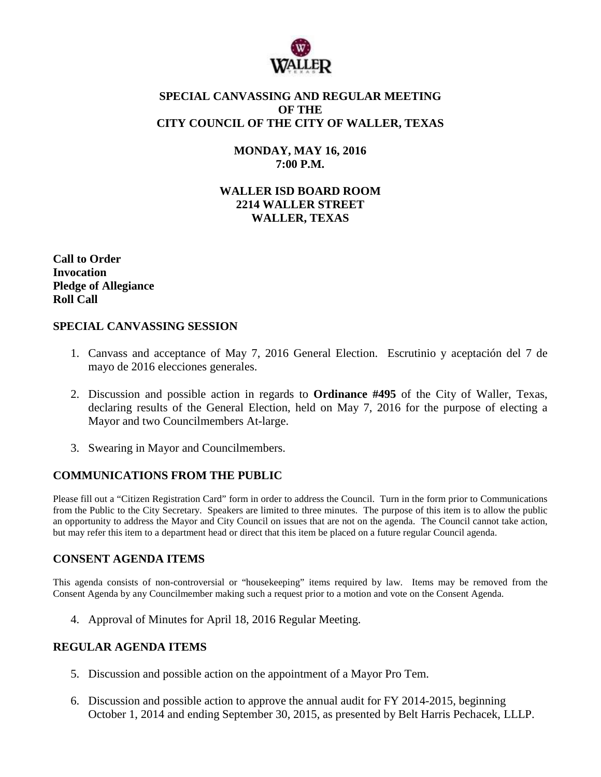

# **SPECIAL CANVASSING AND REGULAR MEETING OF THE CITY COUNCIL OF THE CITY OF WALLER, TEXAS**

**MONDAY, MAY 16, 2016 7:00 P.M.**

**WALLER ISD BOARD ROOM 2214 WALLER STREET WALLER, TEXAS**

**Call to Order Invocation Pledge of Allegiance Roll Call**

#### **SPECIAL CANVASSING SESSION**

- 1. Canvass and acceptance of May 7, 2016 General Election. Escrutinio y aceptación del 7 de mayo de 2016 elecciones generales.
- 2. Discussion and possible action in regards to **Ordinance #495** of the City of Waller, Texas, declaring results of the General Election, held on May 7, 2016 for the purpose of electing a Mayor and two Councilmembers At-large.
- 3. Swearing in Mayor and Councilmembers.

## **COMMUNICATIONS FROM THE PUBLIC**

Please fill out a "Citizen Registration Card" form in order to address the Council. Turn in the form prior to Communications from the Public to the City Secretary. Speakers are limited to three minutes. The purpose of this item is to allow the public an opportunity to address the Mayor and City Council on issues that are not on the agenda. The Council cannot take action, but may refer this item to a department head or direct that this item be placed on a future regular Council agenda.

#### **CONSENT AGENDA ITEMS**

This agenda consists of non-controversial or "housekeeping" items required by law. Items may be removed from the Consent Agenda by any Councilmember making such a request prior to a motion and vote on the Consent Agenda.

4. Approval of Minutes for April 18, 2016 Regular Meeting.

## **REGULAR AGENDA ITEMS**

- 5. Discussion and possible action on the appointment of a Mayor Pro Tem.
- 6. Discussion and possible action to approve the annual audit for FY 2014-2015, beginning October 1, 2014 and ending September 30, 2015, as presented by Belt Harris Pechacek, LLLP.